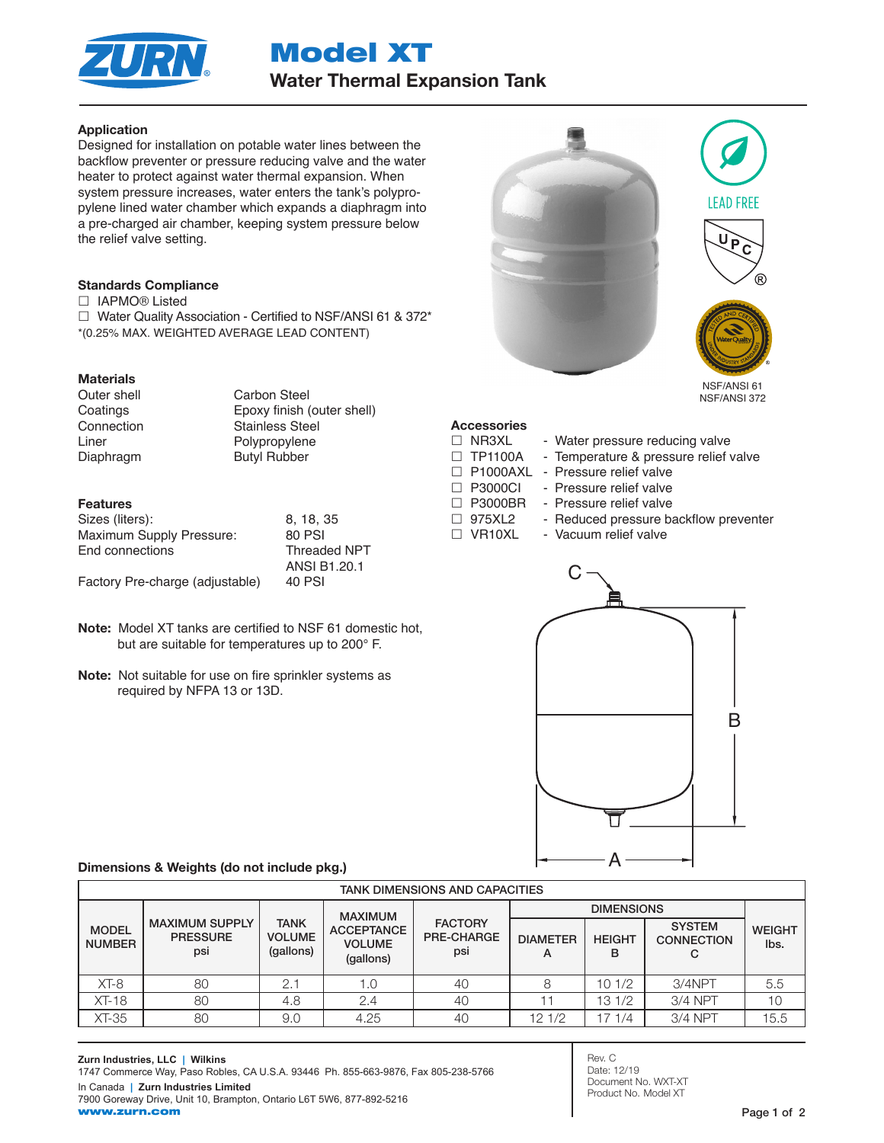

Model XT Water Thermal Expansion Tank

## Application

Designed for installation on potable water lines between the backflow preventer or pressure reducing valve and the water heater to protect against water thermal expansion. When system pressure increases, water enters the tank's polypropylene lined water chamber which expands a diaphragm into a pre-charged air chamber, keeping system pressure below the relief valve setting.

### Standards Compliance

□ IAPMO® Listed

□ Water Quality Association - Certified to NSF/ANSI 61 & 372\* \*(0.25% MAX. WEIGHTED AVERAGE LEAD CONTENT)

# **Materials**

Diaphragm Butyl Rubber

Outer shell Carbon Steel Coatings Epoxy finish (outer shell) Connection Stainless Steel Liner Polypropylene

## Features

| Sizes (liters):                 | 8.18.35             |
|---------------------------------|---------------------|
| Maximum Supply Pressure:        | 80 PSI              |
| End connections                 | <b>Threaded NPT</b> |
|                                 | ANSI B1.20.1        |
| Factory Pre-charge (adjustable) | 40 PSI              |

- Note: Model XT tanks are certified to NSF 61 domestic hot, but are suitable for temperatures up to 200° F.
- Note: Not suitable for use on fire sprinkler systems as required by NFPA 13 or 13D.



# **Accessories**

- $\Box$  NR3XL Water pressure reducing valve
- $\Box$  TP1100A Temperature & pressure relief valve
- □ P1000AXL Pressure relief valve
- □ P3000CI Pressure relief valve
- □ P3000BR Pressure relief valve
- □ 975XL2 Reduced pressure backflow preventer
	-
- □ VR10XL Vacuum relief valve



### Dimensions & Weights (do not include pkg.)

| <b>TANK DIMENSIONS AND CAPACITIES</b> |                                                 |                                           |                                                                   |                                            |                      |                    |                                    |                       |  |
|---------------------------------------|-------------------------------------------------|-------------------------------------------|-------------------------------------------------------------------|--------------------------------------------|----------------------|--------------------|------------------------------------|-----------------------|--|
| <b>MODEL</b><br><b>NUMBER</b>         | <b>MAXIMUM SUPPLY</b><br><b>PRESSURE</b><br>psi | <b>TANK</b><br><b>VOLUME</b><br>(gallons) | <b>MAXIMUM</b><br><b>ACCEPTANCE</b><br><b>VOLUME</b><br>(gallons) | <b>FACTORY</b><br><b>PRE-CHARGE</b><br>psi |                      |                    |                                    |                       |  |
|                                       |                                                 |                                           |                                                                   |                                            | <b>DIAMETER</b><br>А | <b>HEIGHT</b><br>в | <b>SYSTEM</b><br><b>CONNECTION</b> | <b>WEIGHT</b><br>lbs. |  |
| $XT-8$                                | 80                                              | 2.1                                       | 1.0                                                               | 40                                         | 8                    | 10 1/2             | $3/4$ NPT                          | 5.5                   |  |
| $XT-18$                               | 80                                              | 4.8                                       | 2.4                                                               | 40                                         |                      | 13 1/2             | 3/4 NPT                            | 10                    |  |
| XT-35                                 | 80                                              | 9.0                                       | 4.25                                                              | 40                                         | 121/2                | 71/4               | 3/4 NPT                            | 15.5                  |  |

Rev. C Date: 12/19 Document No. WXT-XT Product No. Model XT